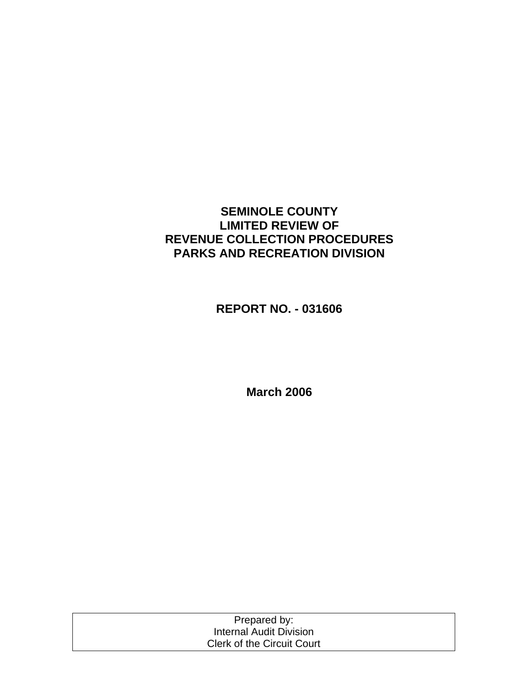## **SEMINOLE COUNTY LIMITED REVIEW OF REVENUE COLLECTION PROCEDURES PARKS AND RECREATION DIVISION**

**REPORT NO. - 031606** 

**March 2006** 

| Prepared by:                      |  |
|-----------------------------------|--|
| Internal Audit Division           |  |
| <b>Clerk of the Circuit Court</b> |  |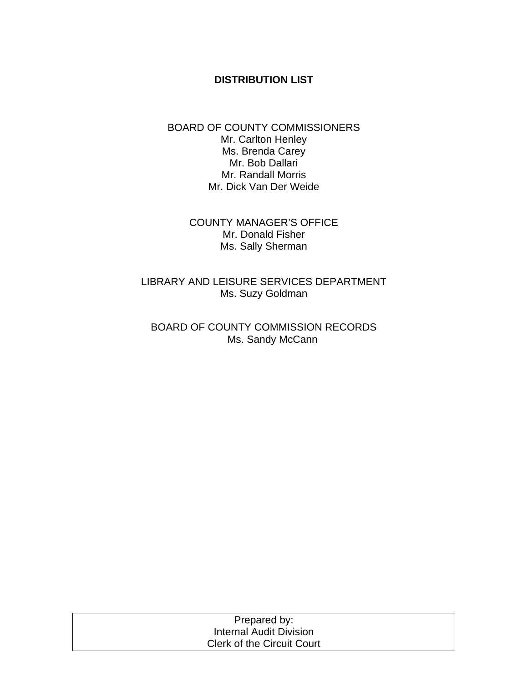#### **DISTRIBUTION LIST**

#### BOARD OF COUNTY COMMISSIONERS Mr. Carlton Henley Ms. Brenda Carey Mr. Bob Dallari Mr. Randall Morris Mr. Dick Van Der Weide

COUNTY MANAGER'S OFFICE Mr. Donald Fisher Ms. Sally Sherman

LIBRARY AND LEISURE SERVICES DEPARTMENT Ms. Suzy Goldman

BOARD OF COUNTY COMMISSION RECORDS Ms. Sandy McCann

| Prepared by:                      |  |
|-----------------------------------|--|
| Internal Audit Division           |  |
| <b>Clerk of the Circuit Court</b> |  |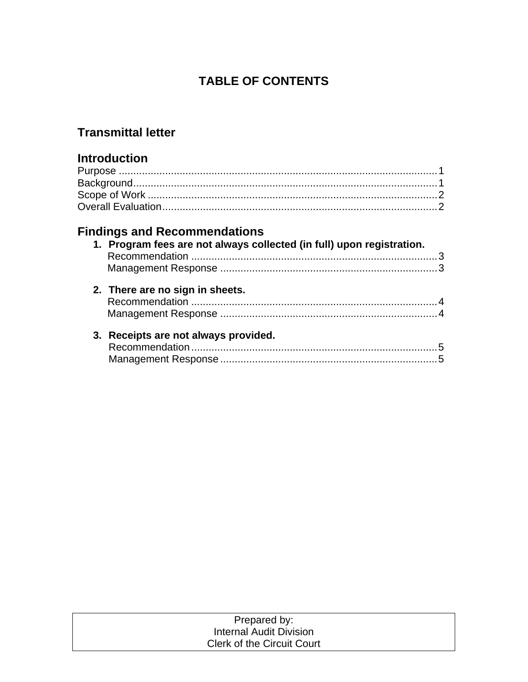# **TABLE OF CONTENTS**

## **Transmittal letter**

## **Introduction**

# **Findings and Recommendations**

| 1. Program fees are not always collected (in full) upon registration. |  |
|-----------------------------------------------------------------------|--|
|                                                                       |  |
| 2. There are no sign in sheets.                                       |  |
| 3. Receipts are not always provided.                                  |  |

| Prepared by:                      |  |
|-----------------------------------|--|
| Internal Audit Division           |  |
| <b>Clerk of the Circuit Court</b> |  |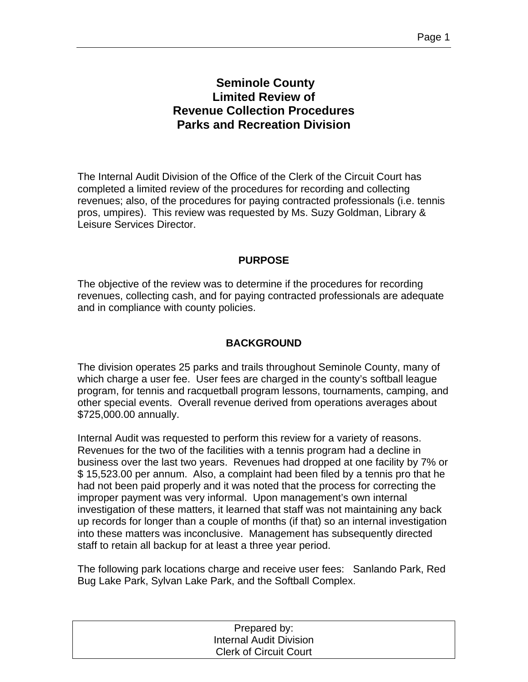## **Seminole County Limited Review of Revenue Collection Procedures Parks and Recreation Division**

The Internal Audit Division of the Office of the Clerk of the Circuit Court has completed a limited review of the procedures for recording and collecting revenues; also, of the procedures for paying contracted professionals (i.e. tennis pros, umpires). This review was requested by Ms. Suzy Goldman, Library & Leisure Services Director.

#### **PURPOSE**

The objective of the review was to determine if the procedures for recording revenues, collecting cash, and for paying contracted professionals are adequate and in compliance with county policies.

### **BACKGROUND**

The division operates 25 parks and trails throughout Seminole County, many of which charge a user fee. User fees are charged in the county's softball league program, for tennis and racquetball program lessons, tournaments, camping, and other special events. Overall revenue derived from operations averages about \$725,000.00 annually.

Internal Audit was requested to perform this review for a variety of reasons. Revenues for the two of the facilities with a tennis program had a decline in business over the last two years. Revenues had dropped at one facility by 7% or \$ 15,523.00 per annum. Also, a complaint had been filed by a tennis pro that he had not been paid properly and it was noted that the process for correcting the improper payment was very informal. Upon management's own internal investigation of these matters, it learned that staff was not maintaining any back up records for longer than a couple of months (if that) so an internal investigation into these matters was inconclusive. Management has subsequently directed staff to retain all backup for at least a three year period.

The following park locations charge and receive user fees: Sanlando Park, Red Bug Lake Park, Sylvan Lake Park, and the Softball Complex.

| Prepared by:                  |  |
|-------------------------------|--|
| Internal Audit Division       |  |
| <b>Clerk of Circuit Court</b> |  |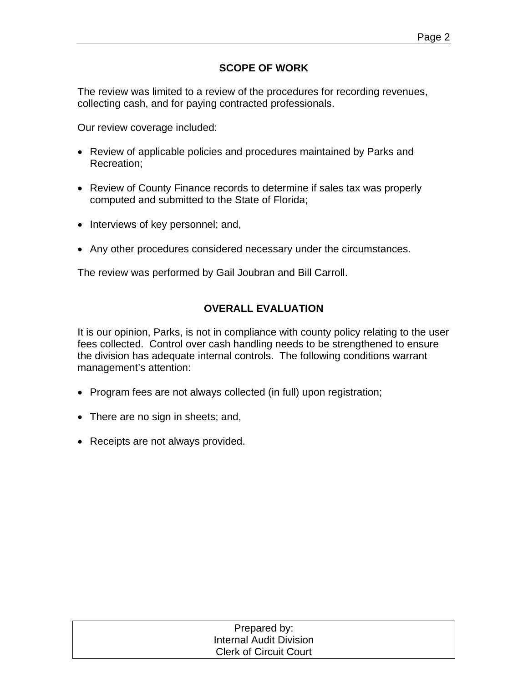## **SCOPE OF WORK**

The review was limited to a review of the procedures for recording revenues, collecting cash, and for paying contracted professionals.

Our review coverage included:

- Review of applicable policies and procedures maintained by Parks and Recreation;
- Review of County Finance records to determine if sales tax was properly computed and submitted to the State of Florida;
- Interviews of key personnel; and,
- Any other procedures considered necessary under the circumstances.

The review was performed by Gail Joubran and Bill Carroll.

### **OVERALL EVALUATION**

It is our opinion, Parks, is not in compliance with county policy relating to the user fees collected. Control over cash handling needs to be strengthened to ensure the division has adequate internal controls. The following conditions warrant management's attention:

- Program fees are not always collected (in full) upon registration;
- There are no sign in sheets; and,
- Receipts are not always provided.

| Prepared by:                   |  |
|--------------------------------|--|
| <b>Internal Audit Division</b> |  |
| <b>Clerk of Circuit Court</b>  |  |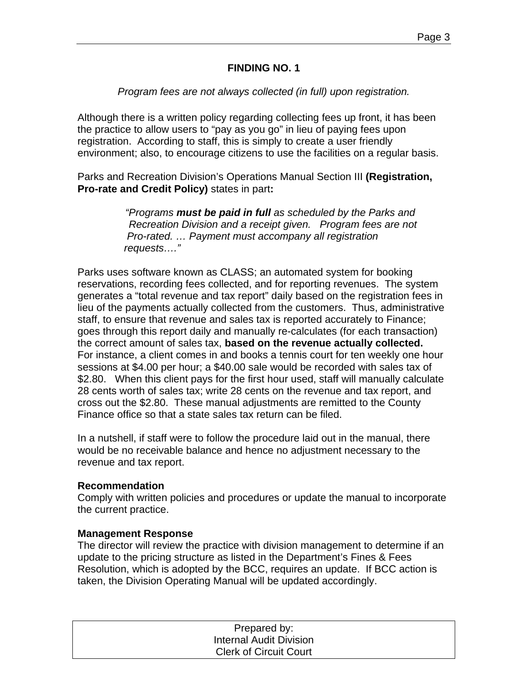#### **FINDING NO. 1**

#### *Program fees are not always collected (in full) upon registration.*

Although there is a written policy regarding collecting fees up front, it has been the practice to allow users to "pay as you go" in lieu of paying fees upon registration. According to staff, this is simply to create a user friendly environment; also, to encourage citizens to use the facilities on a regular basis.

Parks and Recreation Division's Operations Manual Section III **(Registration, Pro-rate and Credit Policy)** states in part**:** 

> *"Programs must be paid in full as scheduled by the Parks and Recreation Division and a receipt given. Program fees are not Pro-rated. … Payment must accompany all registration requests…."*

Parks uses software known as CLASS; an automated system for booking reservations, recording fees collected, and for reporting revenues. The system generates a "total revenue and tax report" daily based on the registration fees in lieu of the payments actually collected from the customers. Thus, administrative staff, to ensure that revenue and sales tax is reported accurately to Finance; goes through this report daily and manually re-calculates (for each transaction) the correct amount of sales tax, **based on the revenue actually collected.** For instance, a client comes in and books a tennis court for ten weekly one hour sessions at \$4.00 per hour; a \$40.00 sale would be recorded with sales tax of \$2.80. When this client pays for the first hour used, staff will manually calculate 28 cents worth of sales tax; write 28 cents on the revenue and tax report, and cross out the \$2.80. These manual adjustments are remitted to the County Finance office so that a state sales tax return can be filed.

In a nutshell, if staff were to follow the procedure laid out in the manual, there would be no receivable balance and hence no adjustment necessary to the revenue and tax report.

#### **Recommendation**

Comply with written policies and procedures or update the manual to incorporate the current practice.

#### **Management Response**

The director will review the practice with division management to determine if an update to the pricing structure as listed in the Department's Fines & Fees Resolution, which is adopted by the BCC, requires an update. If BCC action is taken, the Division Operating Manual will be updated accordingly.

| Prepared by:                  |  |
|-------------------------------|--|
| Internal Audit Division       |  |
| <b>Clerk of Circuit Court</b> |  |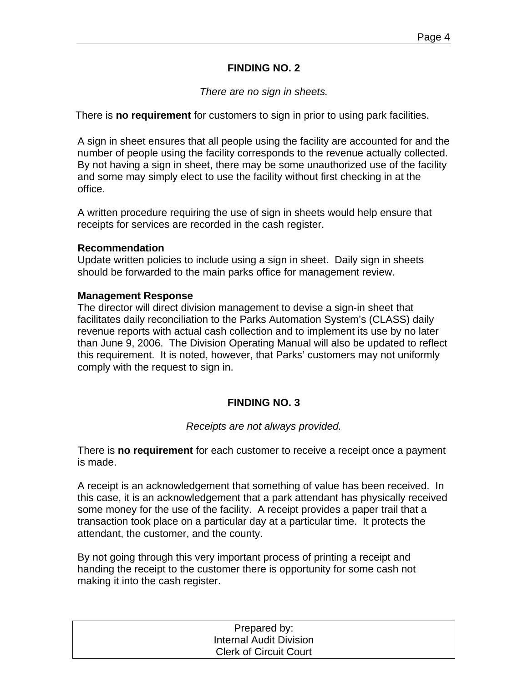#### **FINDING NO. 2**

#### *There are no sign in sheets.*

There is **no requirement** for customers to sign in prior to using park facilities.

A sign in sheet ensures that all people using the facility are accounted for and the number of people using the facility corresponds to the revenue actually collected. By not having a sign in sheet, there may be some unauthorized use of the facility and some may simply elect to use the facility without first checking in at the office.

A written procedure requiring the use of sign in sheets would help ensure that receipts for services are recorded in the cash register.

#### **Recommendation**

Update written policies to include using a sign in sheet. Daily sign in sheets should be forwarded to the main parks office for management review.

#### **Management Response**

The director will direct division management to devise a sign-in sheet that facilitates daily reconciliation to the Parks Automation System's (CLASS) daily revenue reports with actual cash collection and to implement its use by no later than June 9, 2006. The Division Operating Manual will also be updated to reflect this requirement. It is noted, however, that Parks' customers may not uniformly comply with the request to sign in.

### **FINDING NO. 3**

#### *Receipts are not always provided.*

There is **no requirement** for each customer to receive a receipt once a payment is made.

A receipt is an acknowledgement that something of value has been received. In this case, it is an acknowledgement that a park attendant has physically received some money for the use of the facility. A receipt provides a paper trail that a transaction took place on a particular day at a particular time. It protects the attendant, the customer, and the county.

By not going through this very important process of printing a receipt and handing the receipt to the customer there is opportunity for some cash not making it into the cash register.

| Prepared by:                   |  |
|--------------------------------|--|
| <b>Internal Audit Division</b> |  |
| <b>Clerk of Circuit Court</b>  |  |